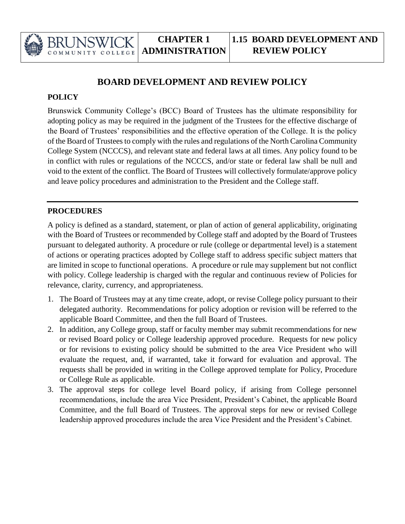

## **BOARD DEVELOPMENT AND REVIEW POLICY**

## **POLICY**

Brunswick Community College's (BCC) Board of Trustees has the ultimate responsibility for adopting policy as may be required in the judgment of the Trustees for the effective discharge of the Board of Trustees' responsibilities and the effective operation of the College. It is the policy of the Board of Trustees to comply with the rules and regulations of the North Carolina Community College System (NCCCS), and relevant state and federal laws at all times. Any policy found to be in conflict with rules or regulations of the NCCCS, and/or state or federal law shall be null and void to the extent of the conflict. The Board of Trustees will collectively formulate/approve policy and leave policy procedures and administration to the President and the College staff.

## **PROCEDURES**

A policy is defined as a standard, statement, or plan of action of general applicability, originating with the Board of Trustees or recommended by College staff and adopted by the Board of Trustees pursuant to delegated authority. A procedure or rule (college or departmental level) is a statement of actions or operating practices adopted by College staff to address specific subject matters that are limited in scope to functional operations. A procedure or rule may supplement but not conflict with policy. College leadership is charged with the regular and continuous review of Policies for relevance, clarity, currency, and appropriateness.

- 1. The Board of Trustees may at any time create, adopt, or revise College policy pursuant to their delegated authority. Recommendations for policy adoption or revision will be referred to the applicable Board Committee, and then the full Board of Trustees.
- 2. In addition, any College group, staff or faculty member may submit recommendations for new or revised Board policy or College leadership approved procedure. Requests for new policy or for revisions to existing policy should be submitted to the area Vice President who will evaluate the request, and, if warranted, take it forward for evaluation and approval. The requests shall be provided in writing in the College approved template for Policy, Procedure or College Rule as applicable.
- 3. The approval steps for college level Board policy, if arising from College personnel recommendations, include the area Vice President, President's Cabinet, the applicable Board Committee, and the full Board of Trustees. The approval steps for new or revised College leadership approved procedures include the area Vice President and the President's Cabinet.